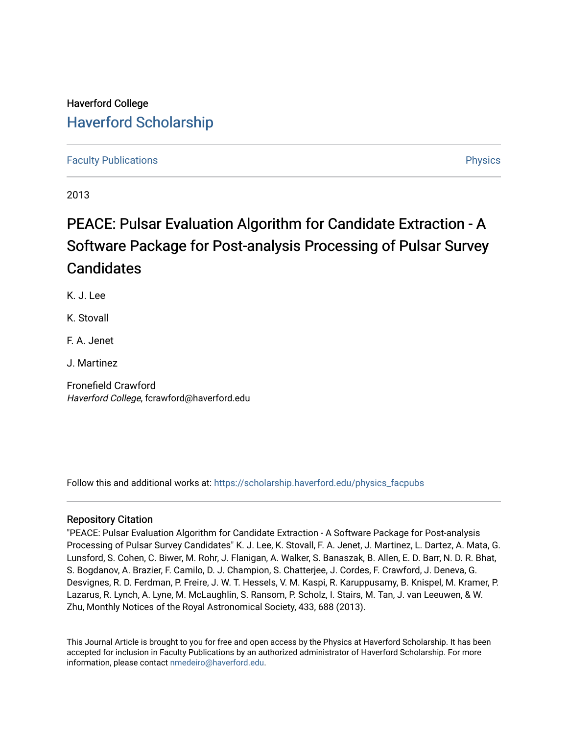# Haverford College [Haverford Scholarship](https://scholarship.haverford.edu/)

# [Faculty Publications](https://scholarship.haverford.edu/physics_facpubs) **Physics**

2013

# PEACE: Pulsar Evaluation Algorithm for Candidate Extraction - A Software Package for Post-analysis Processing of Pulsar Survey **Candidates**

K. J. Lee

K. Stovall

F. A. Jenet

J. Martinez

Fronefield Crawford Haverford College, fcrawford@haverford.edu

Follow this and additional works at: [https://scholarship.haverford.edu/physics\\_facpubs](https://scholarship.haverford.edu/physics_facpubs?utm_source=scholarship.haverford.edu%2Fphysics_facpubs%2F373&utm_medium=PDF&utm_campaign=PDFCoverPages) 

# Repository Citation

"PEACE: Pulsar Evaluation Algorithm for Candidate Extraction - A Software Package for Post-analysis Processing of Pulsar Survey Candidates" K. J. Lee, K. Stovall, F. A. Jenet, J. Martinez, L. Dartez, A. Mata, G. Lunsford, S. Cohen, C. Biwer, M. Rohr, J. Flanigan, A. Walker, S. Banaszak, B. Allen, E. D. Barr, N. D. R. Bhat, S. Bogdanov, A. Brazier, F. Camilo, D. J. Champion, S. Chatterjee, J. Cordes, F. Crawford, J. Deneva, G. Desvignes, R. D. Ferdman, P. Freire, J. W. T. Hessels, V. M. Kaspi, R. Karuppusamy, B. Knispel, M. Kramer, P. Lazarus, R. Lynch, A. Lyne, M. McLaughlin, S. Ransom, P. Scholz, I. Stairs, M. Tan, J. van Leeuwen, & W. Zhu, Monthly Notices of the Royal Astronomical Society, 433, 688 (2013).

This Journal Article is brought to you for free and open access by the Physics at Haverford Scholarship. It has been accepted for inclusion in Faculty Publications by an authorized administrator of Haverford Scholarship. For more information, please contact [nmedeiro@haverford.edu.](mailto:nmedeiro@haverford.edu)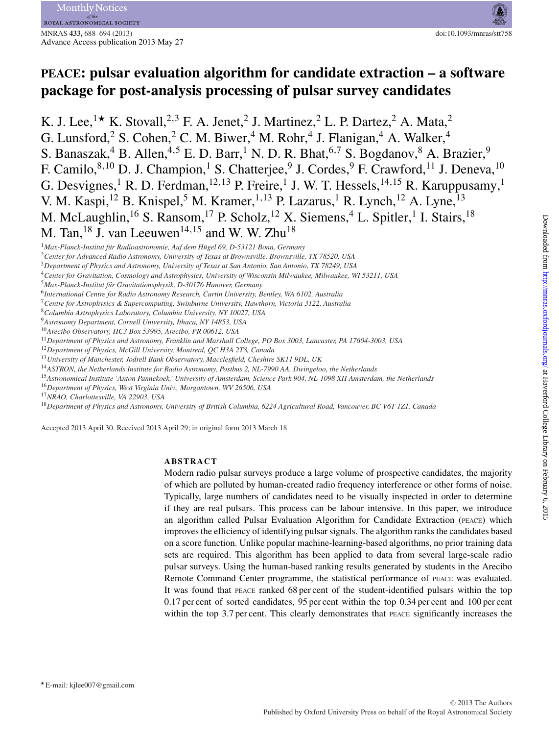# **PEACE: pulsar evaluation algorithm for candidate extraction – a software package for post-analysis processing of pulsar survey candidates**

K. J. Lee,<sup>1\*</sup> K. Stovall,<sup>2,3</sup> F. A. Jenet,<sup>2</sup> J. Martinez,<sup>2</sup> L. P. Dartez,<sup>2</sup> A. Mata,<sup>2</sup> G. Lunsford,  $2^2$  S. Cohen,  $2^2$  C. M. Biwer,  $4^4$  M. Rohr,  $4^4$  J. Flanigan,  $4^4$  A. Walker,  $4^4$ S. Banaszak,<sup>4</sup> B. Allen,<sup>4,5</sup> E. D. Barr,<sup>1</sup> N. D. R. Bhat,<sup>6,7</sup> S. Bogdanov,<sup>8</sup> A. Brazier,<sup>9</sup> F. Camilo, 8,10 D. J. Champion,<sup>1</sup> S. Chatterjee, <sup>9</sup> J. Cordes, <sup>9</sup> F. Crawford, <sup>11</sup> J. Deneva, <sup>10</sup> G. Desvignes,<sup>1</sup> R. D. Ferdman,<sup>12,13</sup> P. Freire,<sup>1</sup> J. W. T. Hessels,<sup>14,15</sup> R. Karuppusamy,<sup>1</sup> V. M. Kaspi,<sup>12</sup> B. Knispel,<sup>5</sup> M. Kramer,<sup>1,13</sup> P. Lazarus,<sup>1</sup> R. Lynch,<sup>12</sup> A. Lyne,<sup>13</sup> M. McLaughlin,<sup>16</sup> S. Ransom,<sup>17</sup> P. Scholz,<sup>12</sup> X. Siemens,<sup>4</sup> L. Spitler,<sup>1</sup> I. Stairs,<sup>18</sup> M. Tan,<sup>18</sup> J. van Leeuwen<sup>14,15</sup> and W. W. Zhu<sup>18</sup>

<sup>1</sup> Max-Planck-Institut für Radioastronomie, Auf dem Hügel 69, D-53121 Bonn, Germany

<sup>2</sup>*Center for Advanced Radio Astronomy, University of Texas at Brownsville, Brownsville, TX 78520, USA*

<sup>3</sup>*Department of Physics and Astronomy, University of Texas at San Antonio, San Antonio, TX 78249, USA*

<sup>4</sup>*Center for Gravitation, Cosmology and Astrophysics, University of Wisconsin Milwaukee, Milwaukee, WI 53211, USA*

<sup>6</sup>*International Centre for Radio Astronomy Research, Curtin University, Bentley, WA 6102, Australia*

<sup>7</sup>*Centre for Astrophysics & Supercomputing, Swinburne University, Hawthorn, Victoria 3122, Australia*

<sup>8</sup>*Columbia Astrophysics Laboratory, Columbia University, NY 10027, USA*

<sup>9</sup>*Astronomy Department, Cornell University, Ithaca, NY 14853, USA*

<sup>10</sup>*Arecibo Observatory, HC3 Box 53995, Arecibo, PR 00612, USA*

<sup>11</sup>*Department of Physics and Astronomy, Franklin and Marshall College, PO Box 3003, Lancaster, PA 17604-3003, USA*

<sup>12</sup>*Department of Physics, McGill University, Montreal, QC H3A 2T8, Canada*

<sup>13</sup>*University of Manchester, Jodrell Bank Observatory, Macclesfield, Cheshire SK11 9DL, UK*

<sup>14</sup>*ASTRON, the Netherlands Institute for Radio Astronomy, Postbus 2, NL-7990 AA, Dwingeloo, the Netherlands*

<sup>15</sup>*Astronomical Institute 'Anton Pannekoek,' University of Amsterdam, Science Park 904, NL-1098 XH Amsterdam, the Netherlands*

<sup>16</sup>*Department of Physics, West Virginia Univ., Morgantown, WV 26506, USA*

<sup>17</sup>*NRAO, Charlottesville, VA 22903, USA*

<sup>18</sup>*Department of Physics and Astronomy, University of British Columbia, 6224 Agricultural Road, Vancouver, BC V6T 1Z1, Canada*

Accepted 2013 April 30. Received 2013 April 29; in original form 2013 March 18

# **ABSTRACT**

Modern radio pulsar surveys produce a large volume of prospective candidates, the majority of which are polluted by human-created radio frequency interference or other forms of noise. Typically, large numbers of candidates need to be visually inspected in order to determine if they are real pulsars. This process can be labour intensive. In this paper, we introduce an algorithm called Pulsar Evaluation Algorithm for Candidate Extraction (PEACE) which improves the efficiency of identifying pulsar signals. The algorithm ranks the candidates based on a score function. Unlike popular machine-learning-based algorithms, no prior training data sets are required. This algorithm has been applied to data from several large-scale radio pulsar surveys. Using the human-based ranking results generated by students in the Arecibo Remote Command Center programme, the statistical performance of PEACE was evaluated. It was found that PEACE ranked 68 per cent of the student-identified pulsars within the top 0.17 per cent of sorted candidates, 95 per cent within the top 0.34 per cent and 100 per cent within the top 3.7 per cent. This clearly demonstrates that PEACE significantly increases the

<sup>5</sup>*Max-Planck-Institut fur Gravitationsphysik, D-30176 Hanover, Germany ¨*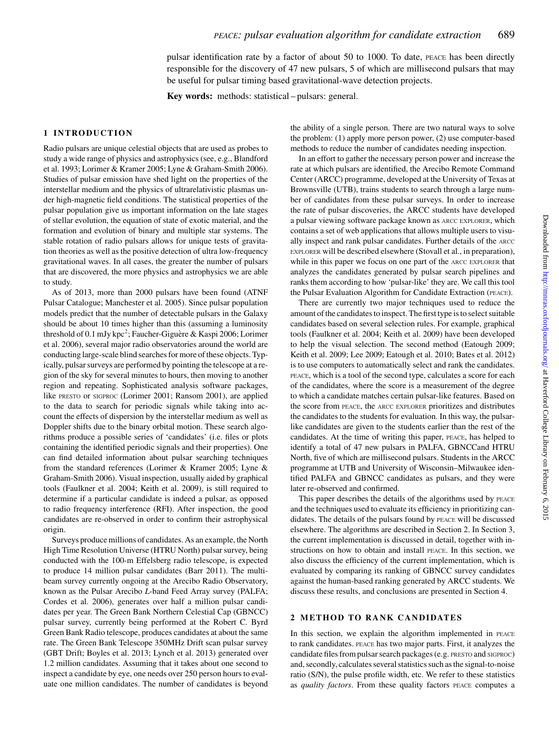pulsar identification rate by a factor of about 50 to 1000. To date, PEACE has been directly responsible for the discovery of 47 new pulsars, 5 of which are millisecond pulsars that may be useful for pulsar timing based gravitational-wave detection projects.

**Key words:** methods: statistical – pulsars: general.

# **1 INTRODUCTION**

Radio pulsars are unique celestial objects that are used as probes to study a wide range of physics and astrophysics (see, e.g., Blandford et al. 1993; Lorimer & Kramer 2005; Lyne & Graham-Smith 2006). Studies of pulsar emission have shed light on the properties of the interstellar medium and the physics of ultrarelativistic plasmas under high-magnetic field conditions. The statistical properties of the pulsar population give us important information on the late stages of stellar evolution, the equation of state of exotic material, and the formation and evolution of binary and multiple star systems. The stable rotation of radio pulsars allows for unique tests of gravitation theories as well as the positive detection of ultra low-frequency gravitational waves. In all cases, the greater the number of pulsars that are discovered, the more physics and astrophysics we are able to study.

As of 2013, more than 2000 pulsars have been found (ATNF Pulsar Catalogue; Manchester et al. 2005). Since pulsar population models predict that the number of detectable pulsars in the Galaxy should be about 10 times higher than this (assuming a luminosity threshold of 0.1 mJy kpc<sup>2</sup>; Faucher-Giguère & Kaspi 2006; Lorimer et al. 2006), several major radio observatories around the world are conducting large-scale blind searches for more of these objects. Typically, pulsar surveys are performed by pointing the telescope at a region of the sky for several minutes to hours, then moving to another region and repeating. Sophisticated analysis software packages, like PRESTO or SIGPROC (Lorimer 2001; Ransom 2001), are applied to the data to search for periodic signals while taking into account the effects of dispersion by the interstellar medium as well as Doppler shifts due to the binary orbital motion. These search algorithms produce a possible series of 'candidates' (i.e. files or plots containing the identified periodic signals and their properties). One can find detailed information about pulsar searching techniques from the standard references (Lorimer & Kramer 2005; Lyne & Graham-Smith 2006). Visual inspection, usually aided by graphical tools (Faulkner et al. 2004; Keith et al. 2009), is still required to determine if a particular candidate is indeed a pulsar, as opposed to radio frequency interference (RFI). After inspection, the good candidates are re-observed in order to confirm their astrophysical origin.

Surveys produce millions of candidates. As an example, the North High Time Resolution Universe (HTRU North) pulsar survey, being conducted with the 100-m Effelsberg radio telescope, is expected to produce 14 million pulsar candidates (Barr 2011). The multibeam survey currently ongoing at the Arecibo Radio Observatory, known as the Pulsar Arecibo *L*-band Feed Array survey (PALFA; Cordes et al. 2006), generates over half a million pulsar candidates per year. The Green Bank Northern Celestial Cap (GBNCC) pulsar survey, currently being performed at the Robert C. Byrd Green Bank Radio telescope, produces candidates at about the same rate. The Green Bank Telescope 350MHz Drift scan pulsar survey (GBT Drift; Boyles et al. 2013; Lynch et al. 2013) generated over 1.2 million candidates. Assuming that it takes about one second to inspect a candidate by eye, one needs over 250 person hours to evaluate one million candidates. The number of candidates is beyond the ability of a single person. There are two natural ways to solve the problem: (1) apply more person power, (2) use computer-based methods to reduce the number of candidates needing inspection.

In an effort to gather the necessary person power and increase the rate at which pulsars are identified, the Arecibo Remote Command Center (ARCC) programme, developed at the University of Texas at Brownsville (UTB), trains students to search through a large number of candidates from these pulsar surveys. In order to increase the rate of pulsar discoveries, the ARCC students have developed a pulsar viewing software package known as ARCC EXPLORER, which contains a set of web applications that allows multiple users to visually inspect and rank pulsar candidates. Further details of the ARCC EXPLORER will be described elsewhere (Stovall et al., in preparation), while in this paper we focus on one part of the ARCC EXPLORER that analyzes the candidates generated by pulsar search pipelines and ranks them according to how 'pulsar-like' they are. We call this tool the Pulsar Evaluation Algorithm for Candidate Extraction (PEACE).

There are currently two major techniques used to reduce the amount of the candidates to inspect. The first type is to select suitable candidates based on several selection rules. For example, graphical tools (Faulkner et al. 2004; Keith et al. 2009) have been developed to help the visual selection. The second method (Eatough 2009; Keith et al. 2009; Lee 2009; Eatough et al. 2010; Bates et al. 2012) is to use computers to automatically select and rank the candidates. PEACE, which is a tool of the second type, calculates a score for each of the candidates, where the score is a measurement of the degree to which a candidate matches certain pulsar-like features. Based on the score from PEACE, the ARCC EXPLORER prioritizes and distributes the candidates to the students for evaluation. In this way, the pulsarlike candidates are given to the students earlier than the rest of the candidates. At the time of writing this paper, PEACE, has helped to identify a total of 47 new pulsars in PALFA, GBNCCand HTRU North, five of which are millisecond pulsars. Students in the ARCC programme at UTB and University of Wisconsin–Milwaukee identified PALFA and GBNCC candidates as pulsars, and they were later re-observed and confirmed.

This paper describes the details of the algorithms used by PEACE and the techniques used to evaluate its efficiency in prioritizing candidates. The details of the pulsars found by PEACE will be discussed elsewhere. The algorithms are described in Section 2. In Section 3, the current implementation is discussed in detail, together with instructions on how to obtain and install PEACE. In this section, we also discuss the efficiency of the current implementation, which is evaluated by comparing its ranking of GBNCC survey candidates against the human-based ranking generated by ARCC students. We discuss these results, and conclusions are presented in Section 4.

# **2 METHOD TO RANK CANDIDATES**

In this section, we explain the algorithm implemented in PEACE to rank candidates. PEACE has two major parts. First, it analyzes the candidate files from pulsar search packages (e.g. PRESTO and SIGPROC) and, secondly, calculates several statistics such as the signal-to-noise ratio (S/N), the pulse profile width, etc. We refer to these statistics as *quality factors*. From these quality factors PEACE computes a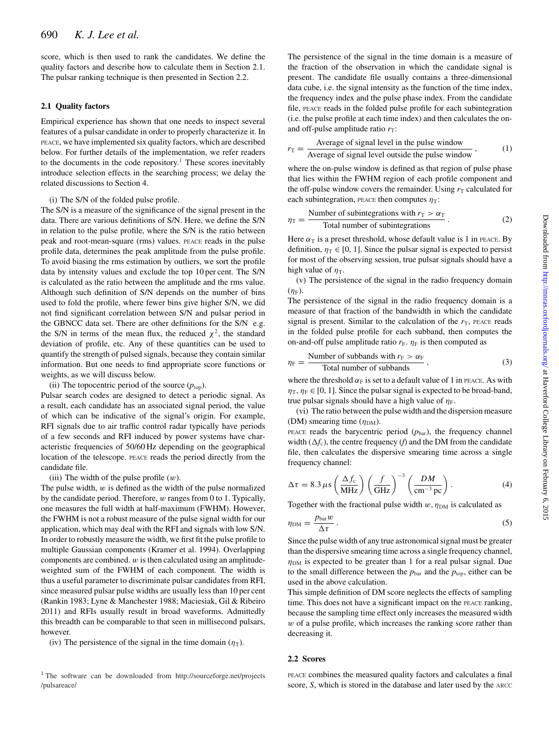score, which is then used to rank the candidates. We define the quality factors and describe how to calculate them in Section 2.1. The pulsar ranking technique is then presented in Section 2.2.

#### **2.1 Quality factors**

Empirical experience has shown that one needs to inspect several features of a pulsar candidate in order to properly characterize it. In PEACE, we have implemented six quality factors, which are described below. For further details of the implementation, we refer readers to the documents in the code repository.<sup>1</sup> These scores inevitably introduce selection effects in the searching process; we delay the related discussions to Section 4.

#### (i) The S/N of the folded pulse profile.

The S/N is a measure of the significance of the signal present in the data. There are various definitions of S/N. Here, we define the S/N in relation to the pulse profile, where the S/N is the ratio between peak and root-mean-square (rms) values. PEACE reads in the pulse profile data, determines the peak amplitude from the pulse profile. To avoid biasing the rms estimation by outliers, we sort the profile data by intensity values and exclude the top 10 per cent. The S/N is calculated as the ratio between the amplitude and the rms value. Although such definition of S/N depends on the number of bins used to fold the profile, where fewer bins give higher S/N, we did not find significant correlation between S/N and pulsar period in the GBNCC data set. There are other definitions for the S/N e.g. the S/N in terms of the mean flux, the reduced  $\chi^2$ , the standard deviation of profile, etc. Any of these quantities can be used to quantify the strength of pulsed signals, because they contain similar information. But one needs to find appropriate score functions or weights, as we will discuss below.

(ii) The topocentric period of the source  $(p_{top})$ .

Pulsar search codes are designed to detect a periodic signal. As a result, each candidate has an associated signal period, the value of which can be indicative of the signal's origin. For example, RFI signals due to air traffic control radar typically have periods of a few seconds and RFI induced by power systems have characteristic frequencies of 50/60 Hz depending on the geographical location of the telescope. PEACE reads the period directly from the candidate file.

(iii) The width of the pulse profile  $(w)$ .

The pulse width,  $w$  is defined as the width of the pulse normalized by the candidate period. Therefore, w ranges from 0 to 1. Typically, one measures the full width at half-maximum (FWHM). However, the FWHM is not a robust measure of the pulse signal width for our application, which may deal with the RFI and signals with low S/N. In order to robustly measure the width, we first fit the pulse profile to multiple Gaussian components (Kramer et al. 1994). Overlapping components are combined.  $w$  is then calculated using an amplitudeweighted sum of the FWHM of each component. The width is thus a useful parameter to discriminate pulsar candidates from RFI, since measured pulsar pulse widths are usually less than 10 per cent (Rankin 1983; Lyne & Manchester 1988; Maciesiak, Gil & Ribeiro 2011) and RFIs usually result in broad waveforms. Admittedly this breadth can be comparable to that seen in millisecond pulsars, however.

(iv) The persistence of the signal in the time domain  $(\eta_T)$ .

<sup>1</sup> The software can be downloaded from http://sourceforge.net/projects /pulsareace/

The persistence of the signal in the time domain is a measure of the fraction of the observation in which the candidate signal is present. The candidate file usually contains a three-dimensional data cube, i.e. the signal intensity as the function of the time index, the frequency index and the pulse phase index. From the candidate file, PEACE reads in the folded pulse profile for each subintegration (i.e. the pulse profile at each time index) and then calculates the onand off-pulse amplitude ratio  $r<sub>T</sub>$ :

$$
r_{\rm T} = \frac{\text{Average of signal level in the pulse window}}{\text{Average of signal level outside the pulse window}},\tag{1}
$$

where the on-pulse window is defined as that region of pulse phase that lies within the FWHM region of each profile component and the off-pulse window covers the remainder. Using  $r<sub>T</sub>$  calculated for each subintegration, PEACE then computes  $\eta$ <sup>-</sup>.

$$
\eta_{\rm T} = \frac{\text{Number of subintegrations with } r_{\rm T} > \alpha_{\rm T}}{\text{Total number of subintegrations}}.
$$
\n(2)

Here  $\alpha_T$  is a preset threshold, whose default value is 1 in PEACE. By definition,  $\eta_{\rm T} \in [0, 1]$ . Since the pulsar signal is expected to persist for most of the observing session, true pulsar signals should have a high value of  $\eta$ <sub>T</sub>.

(v) The persistence of the signal in the radio frequency domain  $(n_F)$ .

The persistence of the signal in the radio frequency domain is a measure of that fraction of the bandwidth in which the candidate signal is present. Similar to the calculation of the  $r<sub>T</sub>$ , PEACE reads in the folded pulse profile for each subband, then computes the on-and-off pulse amplitude ratio  $r_F$ .  $\eta_F$  is then computed as

$$
\eta_{\rm F} = \frac{\text{Number of subbands with } r_{\rm F} > \alpha_{\rm F}}{\text{Total number of subbands}}\,,\tag{3}
$$

where the threshold  $\alpha_F$  is set to a default value of 1 in PEACE. As with  $\eta_{\rm T}, \eta_{\rm F} \in [0, 1]$ . Since the pulsar signal is expected to be broad-band, true pulsar signals should have a high value of  $\eta_F$ .

(vi) The ratio between the pulse width and the dispersion measure (DM) smearing time  $(\eta_{DM})$ .

PEACE reads the barycentric period  $(p_{\text{bar}})$ , the frequency channel width  $(\Delta f_c)$ , the centre frequency (*f*) and the DM from the candidate file, then calculates the dispersive smearing time across a single frequency channel:

$$
\Delta \tau = 8.3 \,\mu s \left( \frac{\Delta f_c}{\text{MHz}} \right) \left( \frac{f}{\text{GHz}} \right)^{-3} \left( \frac{DM}{\text{cm}^{-3} \,\text{pc}} \right). \tag{4}
$$

Together with the fractional pulse width  $w$ ,  $\eta_{DM}$  is calculated as

$$
\eta_{\rm DM} = \frac{p_{\rm bar} w}{\Delta \tau} \,. \tag{5}
$$

Since the pulse width of any true astronomical signal must be greater than the dispersive smearing time across a single frequency channel,  $\eta_{DM}$  is expected to be greater than 1 for a real pulsar signal. Due to the small difference between the  $p_{\text{bar}}$  and the  $p_{\text{top}}$ , either can be used in the above calculation.

This simple definition of DM score neglects the effects of sampling time. This does not have a significant impact on the PEACE ranking, because the sampling time effect only increases the measured width  $w$  of a pulse profile, which increases the ranking score rather than decreasing it.

## **2.2 Scores**

PEACE combines the measured quality factors and calculates a final score, *S*, which is stored in the database and later used by the ARCC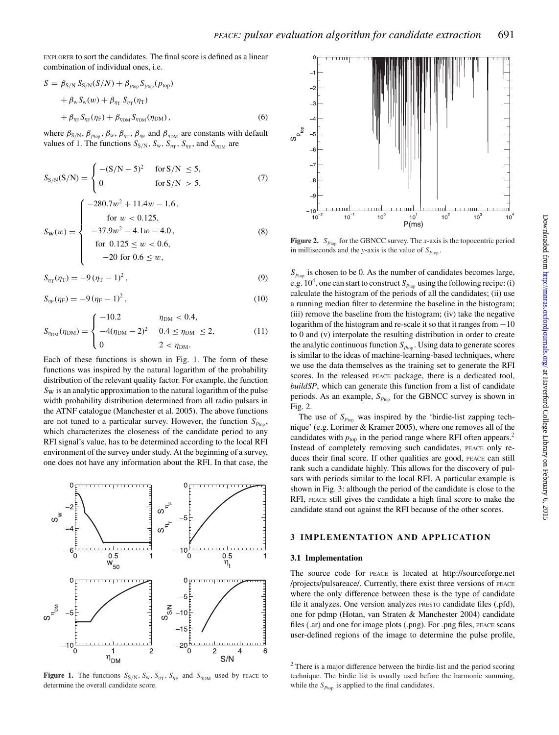EXPLORER to sort the candidates. The final score is defined as a linear combination of individual ones, i.e.

$$
S = \beta_{S/N} S_{S/N}(S/N) + \beta_{p_{top}} S_{p_{top}}(p_{top})
$$
  
+  $\beta_{w} S_{w}(w) + \beta_{\eta_{T}} S_{\eta_{T}}(\eta_{T})$   
+  $\beta_{\eta_{F}} S_{\eta_{F}}(\eta_{F}) + \beta_{\eta_{DM}} S_{\eta_{DM}}(\eta_{DM}),$  (6)

where  $\beta_{S/N}$ ,  $\beta_{p_{\text{top}}}$ ,  $\beta_w$ ,  $\beta_{\eta_{\text{T}}}$ ,  $\beta_{\eta_{\text{F}}}$  and  $\beta_{\eta_{\text{DM}}}$  are constants with default values of 1. The functions  $S_{S/N}$ ,  $S_w$ ,  $S_{\eta_T}$ ,  $S_{\eta_F}$ , and  $S_{\eta_{DM}}$  are

$$
S_{S/N}(S/N) = \begin{cases} -(S/N - 5)^2 & \text{for } S/N \le 5, \\ 0 & \text{for } S/N > 5, \end{cases}
$$
(7)  

$$
S_W(w) = \begin{cases} -280.7w^2 + 11.4w - 1.6, \\ \text{for } w < 0.125, \\ -37.9w^2 - 4.1w - 4.0, \\ \text{for } 0.125 \le w < 0.6, \end{cases}
$$
(8)

for 
$$
0.125 \leq w < 0.6
$$
,  $-20$  for  $0.6 \leq w$ ,

 $20$  for  $0.6 < w$ 

$$
S_{\eta_{\rm T}}(\eta_{\rm T}) = -9(\eta_{\rm T} - 1)^2, \qquad (9)
$$

$$
S_{\eta_{\rm F}}(\eta_{\rm F}) = -9\,(\eta_{\rm F} - 1)^2\,,\tag{10}
$$

$$
S_{\eta_{\rm DM}}(\eta_{\rm DM}) = \begin{cases} -10.2 & \eta_{\rm DM} < 0.4, \\ -4(\eta_{\rm DM} - 2)^2 & 0.4 \le \eta_{\rm DM} \le 2, \\ 0 & 2 < \eta_{\rm DM}. \end{cases}
$$
(11)

Each of these functions is shown in Fig. 1. The form of these functions was inspired by the natural logarithm of the probability distribution of the relevant quality factor. For example, the function  $S_W$  is an analytic approximation to the natural logarithm of the pulse width probability distribution determined from all radio pulsars in the ATNF catalogue (Manchester et al. 2005). The above functions are not tuned to a particular survey. However, the function  $S_{p_{\text{top}}}$ , which characterizes the closeness of the candidate period to any RFI signal's value, has to be determined according to the local RFI environment of the survey under study. At the beginning of a survey, one does not have any information about the RFI. In that case, the



**Figure 1.** The functions  $S_{S/N}$ ,  $S_w$ ,  $S_{\eta_T}$ ,  $S_{\eta_F}$  and  $S_{\eta_{DM}}$  used by PEACE to determine the overall candidate score.



**Figure 2.**  $S_{p_{\text{top}}}$  for the GBNCC survey. The *x*-axis is the topocentric period in milliseconds and the *y*-axis is the value of  $S_{p_{\text{top}}}$ .

 $S_{p_{\text{top}}}$  is chosen to be 0. As the number of candidates becomes large, e.g.  $10^4$ , one can start to construct  $S_{p_{\text{top}}}$  using the following recipe: (i) calculate the histogram of the periods of all the candidates; (ii) use a running median filter to determine the baseline in the histogram; (iii) remove the baseline from the histogram; (iv) take the negative logarithm of the histogram and re-scale it so that it ranges from −10 to 0 and (v) interpolate the resulting distribution in order to create the analytic continuous function  $S_{p_{\text{top}}}$ . Using data to generate scores is similar to the ideas of machine-learning-based techniques, where we use the data themselves as the training set to generate the RFI scores. In the released PEACE package, there is a dedicated tool, *buildSP*, which can generate this function from a list of candidate periods. As an example,  $S_{p_{top}}$  for the GBNCC survey is shown in Fig. 2.

The use of  $S_{p_{top}}$  was inspired by the 'birdie-list zapping technique' (e.g. Lorimer & Kramer 2005), where one removes all of the candidates with  $p_{\text{top}}$  in the period range where RFI often appears.<sup>2</sup> Instead of completely removing such candidates, PEACE only reduces their final score. If other qualities are good, PEACE can still rank such a candidate highly. This allows for the discovery of pulsars with periods similar to the local RFI. A particular example is shown in Fig. 3: although the period of the candidate is close to the RFI, PEACE still gives the candidate a high final score to make the candidate stand out against the RFI because of the other scores.

#### **3 IMPLEMENTATION AND APPLICATION**

#### **3.1 Implementation**

The source code for PEACE is located at http://sourceforge.net /projects/pulsareace/. Currently, there exist three versions of PEACE where the only difference between these is the type of candidate file it analyzes. One version analyzes PRESTO candidate files (.pfd), one for pdmp (Hotan, van Straten & Manchester 2004) candidate files (.ar) and one for image plots (.png). For .png files, PEACE scans user-defined regions of the image to determine the pulse profile,

 $2$  There is a major difference between the birdie-list and the period scoring technique. The birdie list is usually used before the harmonic summing, while the  $S_{p_{\text{top}}}$  is applied to the final candidates.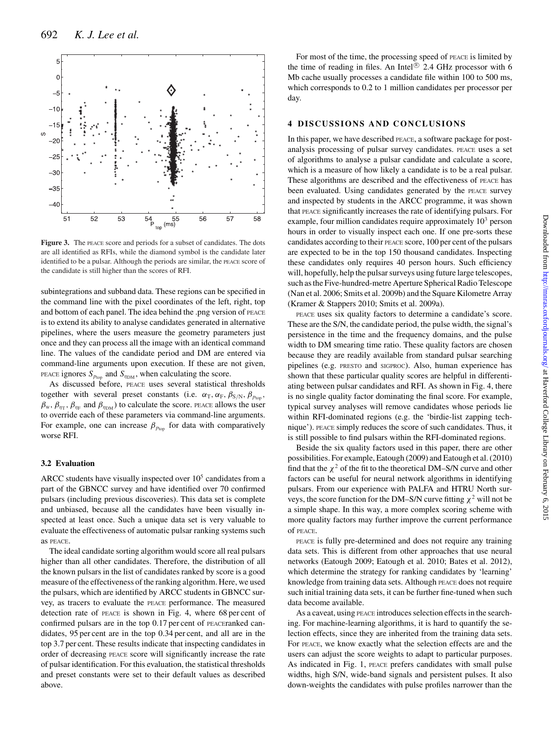

**Figure 3.** The PEACE score and periods for a subset of candidates. The dots are all identified as RFIs, while the diamond symbol is the candidate later identified to be a pulsar. Although the periods are similar, the PEACE score of the candidate is still higher than the scores of RFI.

subintegrations and subband data. These regions can be specified in the command line with the pixel coordinates of the left, right, top and bottom of each panel. The idea behind the .png version of PEACE is to extend its ability to analyse candidates generated in alternative pipelines, where the users measure the geometry parameters just once and they can process all the image with an identical command line. The values of the candidate period and DM are entered via command-line arguments upon execution. If these are not given, PEACE ignores  $S_{p_{\text{top}}}$  and  $S_{\eta_{\text{DM}}}$ , when calculating the score.

As discussed before, PEACE uses several statistical thresholds together with several preset constants (i.e.  $\alpha_{\rm T}, \alpha_{\rm F}, \beta_{\rm S/N}, \beta_{p_{\text{top}}}$ ,  $\beta_{\rm w}, \beta_{\eta_{\rm T}}, \beta_{\eta_{\rm F}}$  and  $\beta_{\eta_{\rm DM}}$ ) to calculate the score. PEACE allows the user to override each of these parameters via command-line arguments. For example, one can increase  $\beta_{p_{\text{top}}}$  for data with comparatively worse RFI.

# **3.2 Evaluation**

ARCC students have visually inspected over  $10<sup>5</sup>$  candidates from a part of the GBNCC survey and have identified over 70 confirmed pulsars (including previous discoveries). This data set is complete and unbiased, because all the candidates have been visually inspected at least once. Such a unique data set is very valuable to evaluate the effectiveness of automatic pulsar ranking systems such as PEACE.

The ideal candidate sorting algorithm would score all real pulsars higher than all other candidates. Therefore, the distribution of all the known pulsars in the list of candidates ranked by score is a good measure of the effectiveness of the ranking algorithm. Here, we used the pulsars, which are identified by ARCC students in GBNCC survey, as tracers to evaluate the PEACE performance. The measured detection rate of PEACE is shown in Fig. 4, where 68 per cent of confirmed pulsars are in the top 0.17 per cent of PEACEranked candidates, 95 per cent are in the top 0.34 per cent, and all are in the top 3.7 per cent. These results indicate that inspecting candidates in order of decreasing PEACE score will significantly increase the rate of pulsar identification. For this evaluation, the statistical thresholds and preset constants were set to their default values as described above.

For most of the time, the processing speed of PEACE is limited by the time of reading in files. An Intel<sup>(8)</sup> 2.4 GHz processor with 6 Mb cache usually processes a candidate file within 100 to 500 ms, which corresponds to 0.2 to 1 million candidates per processor per day.

#### **4 DISCUSSIONS AND CONCLUSIONS**

In this paper, we have described PEACE, a software package for postanalysis processing of pulsar survey candidates. PEACE uses a set of algorithms to analyse a pulsar candidate and calculate a score, which is a measure of how likely a candidate is to be a real pulsar. These algorithms are described and the effectiveness of PEACE has been evaluated. Using candidates generated by the PEACE survey and inspected by students in the ARCC programme, it was shown that PEACE significantly increases the rate of identifying pulsars. For example, four million candidates require approximately  $10<sup>3</sup>$  person hours in order to visually inspect each one. If one pre-sorts these candidates according to their PEACE score, 100 per cent of the pulsars are expected to be in the top 150 thousand candidates. Inspecting these candidates only requires 40 person hours. Such efficiency will, hopefully, help the pulsar surveys using future large telescopes, such as the Five-hundred-metre Aperture Spherical Radio Telescope (Nan et al. 2006; Smits et al. 2009b) and the Square Kilometre Array (Kramer & Stappers 2010; Smits et al. 2009a).

PEACE uses six quality factors to determine a candidate's score. These are the S/N, the candidate period, the pulse width, the signal's persistence in the time and the frequency domains, and the pulse width to DM smearing time ratio. These quality factors are chosen because they are readily available from standard pulsar searching pipelines (e.g. PRESTO and SIGPROC). Also, human experience has shown that these particular quality scores are helpful in differentiating between pulsar candidates and RFI. As shown in Fig. 4, there is no single quality factor dominating the final score. For example, typical survey analyses will remove candidates whose periods lie within RFI-dominated regions (e.g. the 'birdie-list zapping technique'). PEACE simply reduces the score of such candidates. Thus, it is still possible to find pulsars within the RFI-dominated regions.

Beside the six quality factors used in this paper, there are other possibilities. For example, Eatough (2009) and Eatough et al. (2010) find that the  $\chi^2$  of the fit to the theoretical DM–S/N curve and other factors can be useful for neural network algorithms in identifying pulsars. From our experience with PALFA and HTRU North surveys, the score function for the DM–S/N curve fitting  $\chi^2$  will not be a simple shape. In this way, a more complex scoring scheme with more quality factors may further improve the current performance of PEACE.

PEACE is fully pre-determined and does not require any training data sets. This is different from other approaches that use neural networks (Eatough 2009; Eatough et al. 2010; Bates et al. 2012), which determine the strategy for ranking candidates by 'learning' knowledge from training data sets. Although PEACE does not require such initial training data sets, it can be further fine-tuned when such data become available.

As a caveat, using PEACE introduces selection effects in the searching. For machine-learning algorithms, it is hard to quantify the selection effects, since they are inherited from the training data sets. For PEACE, we know exactly what the selection effects are and the users can adjust the score weights to adapt to particular purposes. As indicated in Fig. 1, PEACE prefers candidates with small pulse widths, high S/N, wide-band signals and persistent pulses. It also down-weights the candidates with pulse profiles narrower than the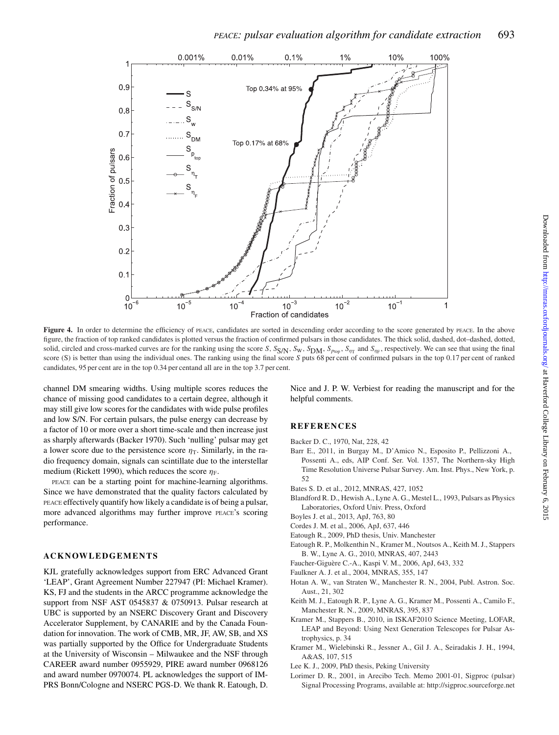

Figure 4. In order to determine the efficiency of PEACE, candidates are sorted in descending order according to the score generated by PEACE. In the above figure, the fraction of top ranked candidates is plotted versus the fraction of confirmed pulsars in those candidates. The thick solid, dashed, dot–dashed, dotted, solid, circled and cross-marked curves are for the ranking using the score S,  $S_{\text{S/N}}$ ,  $S_{\text{W}}$ ,  $S_{\text{DM}}$ ,  $S_{\text{POD}}$ ,  $S_{\eta_{\text{T}}}$  and  $S_{\eta_{\text{F}}}$ , respectively. We can see that using the final score (S) is better than using the individual ones. The ranking using the final score *S* puts 68 per cent of confirmed pulsars in the top 0.17 per cent of ranked candidates, 95 per cent are in the top 0.34 per centand all are in the top 3.7 per cent.

channel DM smearing widths. Using multiple scores reduces the chance of missing good candidates to a certain degree, although it may still give low scores for the candidates with wide pulse profiles and low S/N. For certain pulsars, the pulse energy can decrease by a factor of 10 or more over a short time-scale and then increase just as sharply afterwards (Backer 1970). Such 'nulling' pulsar may get a lower score due to the persistence score  $\eta$ <sub>T</sub>. Similarly, in the radio frequency domain, signals can scintillate due to the interstellar medium (Rickett 1990), which reduces the score  $\eta_F$ .

PEACE can be a starting point for machine-learning algorithms. Since we have demonstrated that the quality factors calculated by PEACE effectively quantify how likely a candidate is of being a pulsar, more advanced algorithms may further improve PEACE's scoring performance.

# **ACKNOWLEDGEMENTS**

KJL gratefully acknowledges support from ERC Advanced Grant 'LEAP', Grant Agreement Number 227947 (PI: Michael Kramer). KS, FJ and the students in the ARCC programme acknowledge the support from NSF AST 0545837 & 0750913. Pulsar research at UBC is supported by an NSERC Discovery Grant and Discovery Accelerator Supplement, by CANARIE and by the Canada Foundation for innovation. The work of CMB, MR, JF, AW, SB, and XS was partially supported by the Office for Undergraduate Students at the University of Wisconsin – Milwaukee and the NSF through CAREER award number 0955929, PIRE award number 0968126 and award number 0970074. PL acknowledges the support of IM-PRS Bonn/Cologne and NSERC PGS-D. We thank R. Eatough, D.

Nice and J. P. W. Verbiest for reading the manuscript and for the helpful comments.

#### **REFERENCES**

- Backer D. C., 1970, Nat, 228, 42
- Barr E., 2011, in Burgay M., D'Amico N., Esposito P., Pellizzoni A., Possenti A., eds, AIP Conf. Ser. Vol. 1357, The Northern-sky High Time Resolution Universe Pulsar Survey. Am. Inst. Phys., New York, p. 52
- Bates S. D. et al., 2012, MNRAS, 427, 1052
- Blandford R. D., Hewish A., Lyne A. G., Mestel L., 1993, Pulsars as Physics Laboratories, Oxford Univ. Press, Oxford
- Boyles J. et al., 2013, ApJ, 763, 80
- Cordes J. M. et al., 2006, ApJ, 637, 446
- Eatough R., 2009, PhD thesis, Univ. Manchester
- Eatough R. P., Molkenthin N., Kramer M., Noutsos A., Keith M. J., Stappers B. W., Lyne A. G., 2010, MNRAS, 407, 2443
- Faucher-Giguère C.-A., Kaspi V. M., 2006, ApJ, 643, 332
- Faulkner A. J. et al., 2004, MNRAS, 355, 147
- Hotan A. W., van Straten W., Manchester R. N., 2004, Publ. Astron. Soc. Aust., 21, 302
- Keith M. J., Eatough R. P., Lyne A. G., Kramer M., Possenti A., Camilo F., Manchester R. N., 2009, MNRAS, 395, 837
- Kramer M., Stappers B., 2010, in ISKAF2010 Science Meeting, LOFAR, LEAP and Beyond: Using Next Generation Telescopes for Pulsar Astrophysics, p. 34
- Kramer M., Wielebinski R., Jessner A., Gil J. A., Seiradakis J. H., 1994, A&AS, 107, 515
- Lee K. J., 2009, PhD thesis, Peking University
- Lorimer D. R., 2001, in Arecibo Tech. Memo 2001-01, Sigproc (pulsar) Signal Processing Programs, available at:<http://sigproc.sourceforge.net>